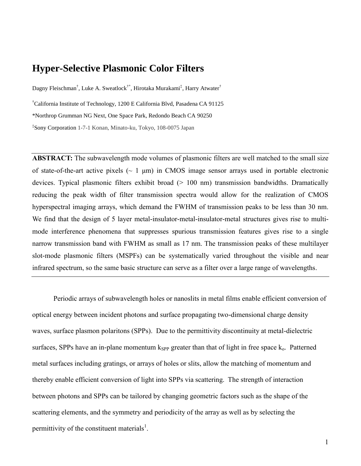# **Hyper-Selective Plasmonic Color Filters**

Dagny Fleischman**†** , Luke A. Sweatlock**†\***, Hirotaka Murakami**‡** , Harry Atwater**†**

**†**California Institute of Technology, 1200 E California Blvd, Pasadena CA 91125

\*Northrop Grumman NG Next, One Space Park, Redondo Beach CA 90250

**‡** Sony Corporation 1-7-1 Konan, Minato-ku, Tokyo, 108-0075 Japan

**ABSTRACT:** The subwavelength mode volumes of plasmonic filters are well matched to the small size of state-of-the-art active pixels  $(-1 \mu m)$  in CMOS image sensor arrays used in portable electronic devices. Typical plasmonic filters exhibit broad  $(> 100 \text{ nm})$  transmission bandwidths. Dramatically reducing the peak width of filter transmission spectra would allow for the realization of CMOS hyperspectral imaging arrays, which demand the FWHM of transmission peaks to be less than 30 nm. We find that the design of 5 layer metal-insulator-metal-insulator-metal structures gives rise to multimode interference phenomena that suppresses spurious transmission features gives rise to a single narrow transmission band with FWHM as small as 17 nm. The transmission peaks of these multilayer slot-mode plasmonic filters (MSPFs) can be systematically varied throughout the visible and near infrared spectrum, so the same basic structure can serve as a filter over a large range of wavelengths.

Periodic arrays of subwavelength holes or nanoslits in metal films enable efficient conversion of optical energy between incident photons and surface propagating two-dimensional charge density waves, surface plasmon polaritons (SPPs). Due to the permittivity discontinuity at metal-dielectric surfaces, SPPs have an in-plane momentum  $k_{SPP}$  greater than that of light in free space  $k_0$ . Patterned metal surfaces including gratings, or arrays of holes or slits, allow the matching of momentum and thereby enable efficient conversion of light into SPPs via scattering. The strength of interaction between photons and SPPs can be tailored by changing geometric factors such as the shape of the scattering elements, and the symmetry and periodicity of the array as well as by selecting the permittivity of the constituent materials<sup>1</sup>.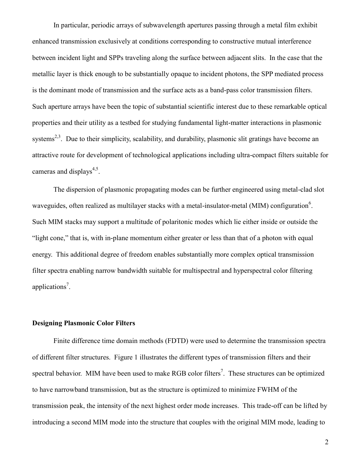In particular, periodic arrays of subwavelength apertures passing through a metal film exhibit enhanced transmission exclusively at conditions corresponding to constructive mutual interference between incident light and SPPs traveling along the surface between adjacent slits. In the case that the metallic layer is thick enough to be substantially opaque to incident photons, the SPP mediated process is the dominant mode of transmission and the surface acts as a band-pass color transmission filters. Such aperture arrays have been the topic of substantial scientific interest due to these remarkable optical properties and their utility as a testbed for studying fundamental light-matter interactions in plasmonic systems<sup>2,3</sup>. Due to their simplicity, scalability, and durability, plasmonic slit gratings have become an attractive route for development of technological applications including ultra-compact filters suitable for cameras and displays<sup>4,5</sup>.

The dispersion of plasmonic propagating modes can be further engineered using metal-clad slot waveguides, often realized as multilayer stacks with a metal-insulator-metal (MIM) configuration<sup>6</sup>. Such MIM stacks may support a multitude of polaritonic modes which lie either inside or outside the "light cone," that is, with in-plane momentum either greater or less than that of a photon with equal energy. This additional degree of freedom enables substantially more complex optical transmission filter spectra enabling narrow bandwidth suitable for multispectral and hyperspectral color filtering applications<sup>7</sup>.

# **Designing Plasmonic Color Filters**

Finite difference time domain methods (FDTD) were used to determine the transmission spectra of different filter structures. Figure 1 illustrates the different types of transmission filters and their spectral behavior. MIM have been used to make RGB color filters<sup>7</sup>. These structures can be optimized to have narrowband transmission, but as the structure is optimized to minimize FWHM of the transmission peak, the intensity of the next highest order mode increases. This trade-off can be lifted by introducing a second MIM mode into the structure that couples with the original MIM mode, leading to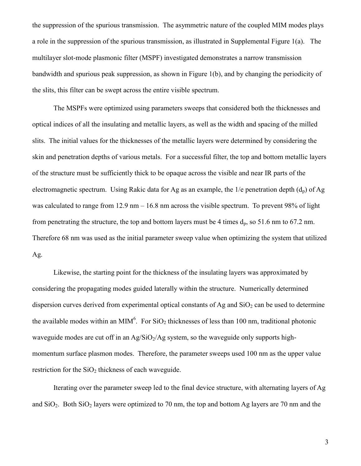the suppression of the spurious transmission. The asymmetric nature of the coupled MIM modes plays a role in the suppression of the spurious transmission, as illustrated in Supplemental Figure 1(a). The multilayer slot-mode plasmonic filter (MSPF) investigated demonstrates a narrow transmission bandwidth and spurious peak suppression, as shown in Figure 1(b), and by changing the periodicity of the slits, this filter can be swept across the entire visible spectrum.

The MSPFs were optimized using parameters sweeps that considered both the thicknesses and optical indices of all the insulating and metallic layers, as well as the width and spacing of the milled slits. The initial values for the thicknesses of the metallic layers were determined by considering the skin and penetration depths of various metals. For a successful filter, the top and bottom metallic layers of the structure must be sufficiently thick to be opaque across the visible and near IR parts of the electromagnetic spectrum. Using Rakic data for Ag as an example, the  $1/e$  penetration depth  $(d_p)$  of Ag was calculated to range from 12.9 nm – 16.8 nm across the visible spectrum. To prevent 98% of light from penetrating the structure, the top and bottom layers must be 4 times  $d_p$ , so 51.6 nm to 67.2 nm. Therefore 68 nm was used as the initial parameter sweep value when optimizing the system that utilized Ag.

Likewise, the starting point for the thickness of the insulating layers was approximated by considering the propagating modes guided laterally within the structure. Numerically determined dispersion curves derived from experimental optical constants of Ag and  $SiO<sub>2</sub>$  can be used to determine the available modes within an MIM<sup>6</sup>. For SiO<sub>2</sub> thicknesses of less than 100 nm, traditional photonic waveguide modes are cut off in an  $Ag/SiO<sub>2</sub>/Ag$  system, so the waveguide only supports highmomentum surface plasmon modes. Therefore, the parameter sweeps used 100 nm as the upper value restriction for the  $SiO<sub>2</sub>$  thickness of each waveguide.

Iterating over the parameter sweep led to the final device structure, with alternating layers of Ag and  $SiO<sub>2</sub>$ . Both  $SiO<sub>2</sub>$  layers were optimized to 70 nm, the top and bottom Ag layers are 70 nm and the

3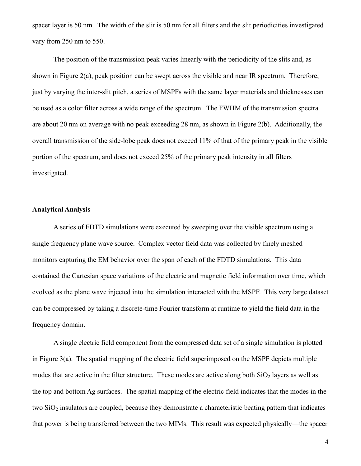spacer layer is 50 nm. The width of the slit is 50 nm for all filters and the slit periodicities investigated vary from 250 nm to 550.

The position of the transmission peak varies linearly with the periodicity of the slits and, as shown in Figure 2(a), peak position can be swept across the visible and near IR spectrum. Therefore, just by varying the inter-slit pitch, a series of MSPFs with the same layer materials and thicknesses can be used as a color filter across a wide range of the spectrum. The FWHM of the transmission spectra are about 20 nm on average with no peak exceeding 28 nm, as shown in Figure 2(b). Additionally, the overall transmission of the side-lobe peak does not exceed 11% of that of the primary peak in the visible portion of the spectrum, and does not exceed 25% of the primary peak intensity in all filters investigated.

#### **Analytical Analysis**

A series of FDTD simulations were executed by sweeping over the visible spectrum using a single frequency plane wave source. Complex vector field data was collected by finely meshed monitors capturing the EM behavior over the span of each of the FDTD simulations. This data contained the Cartesian space variations of the electric and magnetic field information over time, which evolved as the plane wave injected into the simulation interacted with the MSPF. This very large dataset can be compressed by taking a discrete-time Fourier transform at runtime to yield the field data in the frequency domain.

A single electric field component from the compressed data set of a single simulation is plotted in Figure 3(a). The spatial mapping of the electric field superimposed on the MSPF depicts multiple modes that are active in the filter structure. These modes are active along both  $SiO<sub>2</sub>$  layers as well as the top and bottom Ag surfaces. The spatial mapping of the electric field indicates that the modes in the two  $SiO<sub>2</sub>$  insulators are coupled, because they demonstrate a characteristic beating pattern that indicates that power is being transferred between the two MIMs. This result was expected physically—the spacer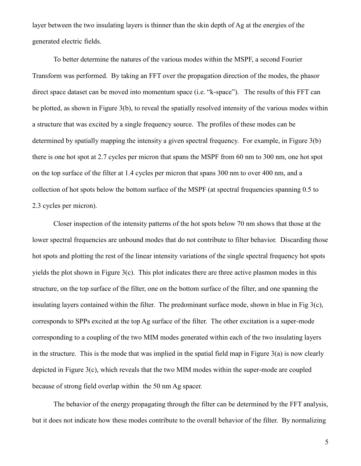layer between the two insulating layers is thinner than the skin depth of Ag at the energies of the generated electric fields.

To better determine the natures of the various modes within the MSPF, a second Fourier Transform was performed. By taking an FFT over the propagation direction of the modes, the phasor direct space dataset can be moved into momentum space (i.e. "k-space"). The results of this FFT can be plotted, as shown in Figure 3(b), to reveal the spatially resolved intensity of the various modes within a structure that was excited by a single frequency source. The profiles of these modes can be determined by spatially mapping the intensity a given spectral frequency. For example, in Figure 3(b) there is one hot spot at 2.7 cycles per micron that spans the MSPF from 60 nm to 300 nm, one hot spot on the top surface of the filter at 1.4 cycles per micron that spans 300 nm to over 400 nm, and a collection of hot spots below the bottom surface of the MSPF (at spectral frequencies spanning 0.5 to 2.3 cycles per micron).

Closer inspection of the intensity patterns of the hot spots below 70 nm shows that those at the lower spectral frequencies are unbound modes that do not contribute to filter behavior. Discarding those hot spots and plotting the rest of the linear intensity variations of the single spectral frequency hot spots yields the plot shown in Figure 3(c). This plot indicates there are three active plasmon modes in this structure, on the top surface of the filter, one on the bottom surface of the filter, and one spanning the insulating layers contained within the filter. The predominant surface mode, shown in blue in Fig 3(c), corresponds to SPPs excited at the top Ag surface of the filter. The other excitation is a super-mode corresponding to a coupling of the two MIM modes generated within each of the two insulating layers in the structure. This is the mode that was implied in the spatial field map in Figure  $3(a)$  is now clearly depicted in Figure 3(c), which reveals that the two MIM modes within the super-mode are coupled because of strong field overlap within the 50 nm Ag spacer.

The behavior of the energy propagating through the filter can be determined by the FFT analysis, but it does not indicate how these modes contribute to the overall behavior of the filter. By normalizing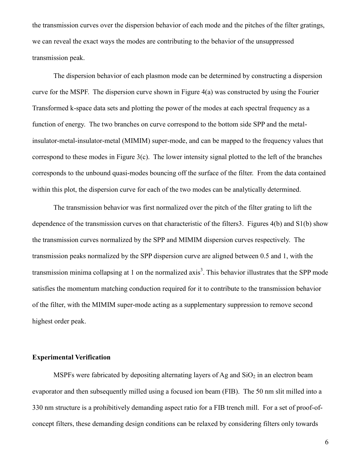the transmission curves over the dispersion behavior of each mode and the pitches of the filter gratings, we can reveal the exact ways the modes are contributing to the behavior of the unsuppressed transmission peak.

The dispersion behavior of each plasmon mode can be determined by constructing a dispersion curve for the MSPF. The dispersion curve shown in Figure 4(a) was constructed by using the Fourier Transformed k-space data sets and plotting the power of the modes at each spectral frequency as a function of energy. The two branches on curve correspond to the bottom side SPP and the metalinsulator-metal-insulator-metal (MIMIM) super-mode, and can be mapped to the frequency values that correspond to these modes in Figure 3(c). The lower intensity signal plotted to the left of the branches corresponds to the unbound quasi-modes bouncing off the surface of the filter. From the data contained within this plot, the dispersion curve for each of the two modes can be analytically determined.

The transmission behavior was first normalized over the pitch of the filter grating to lift the dependence of the transmission curves on that characteristic of the filters3. Figures 4(b) and S1(b) show the transmission curves normalized by the SPP and MIMIM dispersion curves respectively. The transmission peaks normalized by the SPP dispersion curve are aligned between 0.5 and 1, with the transmission minima collapsing at 1 on the normalized axis<sup>3</sup>. This behavior illustrates that the SPP mode satisfies the momentum matching conduction required for it to contribute to the transmission behavior of the filter, with the MIMIM super-mode acting as a supplementary suppression to remove second highest order peak.

# **Experimental Verification**

MSPFs were fabricated by depositing alternating layers of Ag and  $SiO<sub>2</sub>$  in an electron beam evaporator and then subsequently milled using a focused ion beam (FIB). The 50 nm slit milled into a 330 nm structure is a prohibitively demanding aspect ratio for a FIB trench mill. For a set of proof-ofconcept filters, these demanding design conditions can be relaxed by considering filters only towards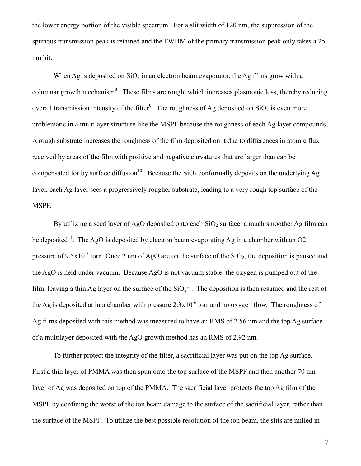the lower energy portion of the visible spectrum. For a slit width of 120 nm, the suppression of the spurious transmission peak is retained and the FWHM of the primary transmission peak only takes a 25 nm hit.

When Ag is deposited on  $SiO<sub>2</sub>$  in an electron beam evaporator, the Ag films grow with a columnar growth mechanism<sup>8</sup>. These films are rough, which increases plasmonic loss, thereby reducing overall transmission intensity of the filter<sup>9</sup>. The roughness of Ag deposited on  $SiO<sub>2</sub>$  is even more problematic in a multilayer structure like the MSPF because the roughness of each Ag layer compounds. A rough substrate increases the roughness of the film deposited on it due to differences in atomic flux received by areas of the film with positive and negative curvatures that are larger than can be compensated for by surface diffusion<sup>10</sup>. Because the  $SiO<sub>2</sub>$  conformally deposits on the underlying Ag layer, each Ag layer sees a progressively rougher substrate, leading to a very rough top surface of the MSPF.

By utilizing a seed layer of AgO deposited onto each  $SiO<sub>2</sub>$  surface, a much smoother Ag film can be deposited<sup>11</sup>. The AgO is deposited by electron beam evaporating Ag in a chamber with an O2 pressure of 9.5x10<sup>-5</sup> torr. Once 2 nm of AgO are on the surface of the  $SiO_2$ , the deposition is paused and the AgO is held under vacuum. Because AgO is not vacuum stable, the oxygen is pumped out of the film, leaving a thin Ag layer on the surface of the  $SiO_2^{11}$ . The deposition is then resumed and the rest of the Ag is deposited at in a chamber with pressure  $2.3 \times 10^{-6}$  torr and no oxygen flow. The roughness of Ag films deposited with this method was measured to have an RMS of 2.56 nm and the top Ag surface of a multilayer deposited with the AgO growth method has an RMS of 2.92 nm.

To further protect the integrity of the filter, a sacrificial layer was put on the top Ag surface. First a thin layer of PMMA was then spun onto the top surface of the MSPF and then another 70 nm layer of Ag was deposited on top of the PMMA. The sacrificial layer protects the top Ag film of the MSPF by confining the worst of the ion beam damage to the surface of the sacrificial layer, rather than the surface of the MSPF. To utilize the best possible resolution of the ion beam, the slits are milled in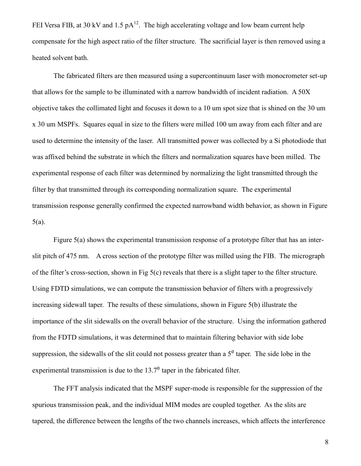FEI Versa FIB, at 30 kV and 1.5 pA<sup>12</sup>. The high accelerating voltage and low beam current help compensate for the high aspect ratio of the filter structure. The sacrificial layer is then removed using a heated solvent bath.

The fabricated filters are then measured using a supercontinuum laser with monocrometer set-up that allows for the sample to be illuminated with a narrow bandwidth of incident radiation. A 50X objective takes the collimated light and focuses it down to a 10 um spot size that is shined on the 30 um x 30 um MSPFs. Squares equal in size to the filters were milled 100 um away from each filter and are used to determine the intensity of the laser. All transmitted power was collected by a Si photodiode that was affixed behind the substrate in which the filters and normalization squares have been milled. The experimental response of each filter was determined by normalizing the light transmitted through the filter by that transmitted through its corresponding normalization square. The experimental transmission response generally confirmed the expected narrowband width behavior, as shown in Figure 5(a).

Figure 5(a) shows the experimental transmission response of a prototype filter that has an interslit pitch of 475 nm. A cross section of the prototype filter was milled using the FIB. The micrograph of the filter's cross-section, shown in Fig 5(c) reveals that there is a slight taper to the filter structure. Using FDTD simulations, we can compute the transmission behavior of filters with a progressively increasing sidewall taper. The results of these simulations, shown in Figure 5(b) illustrate the importance of the slit sidewalls on the overall behavior of the structure. Using the information gathered from the FDTD simulations, it was determined that to maintain filtering behavior with side lobe suppression, the sidewalls of the slit could not possess greater than a  $5<sup>o</sup>$  taper. The side lobe in the experimental transmission is due to the  $13.7<sup>0</sup>$  taper in the fabricated filter.

The FFT analysis indicated that the MSPF super-mode is responsible for the suppression of the spurious transmission peak, and the individual MIM modes are coupled together. As the slits are tapered, the difference between the lengths of the two channels increases, which affects the interference

8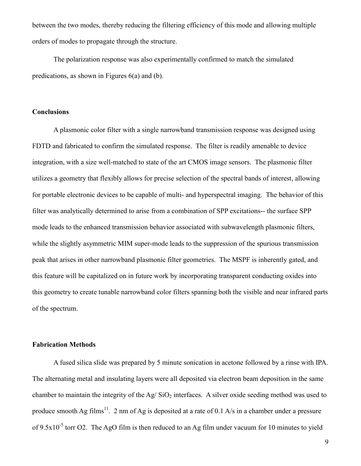between the two modes, thereby reducing the filtering efficiency of this mode and allowing multiple orders of modes to propagate through the structure.

The polarization response was also experimentally confirmed to match the simulated predications, as shown in Figures 6(a) and (b).

# **Conclusions**

A plasmonic color filter with a single narrowband transmission response was designed using FDTD and fabricated to confirm the simulated response. The filter is readily amenable to device integration, with a size well-matched to state of the art CMOS image sensors. The plasmonic filter utilizes a geometry that flexibly allows for precise selection of the spectral bands of interest, allowing for portable electronic devices to be capable of multi- and hyperspectral imaging. The behavior of this filter was analytically determined to arise from a combination of SPP excitations-- the surface SPP mode leads to the enhanced transmission behavior associated with subwavelength plasmonic filters, while the slightly asymmetric MIM super-mode leads to the suppression of the spurious transmission peak that arises in other narrowband plasmonic filter geometries. The MSPF is inherently gated, and this feature will be capitalized on in future work by incorporating transparent conducting oxides into this geometry to create tunable narrowband color filters spanning both the visible and near infrared parts of the spectrum.

# **Fabrication Methods**

A fused silica slide was prepared by 5 minute sonication in acetone followed by a rinse with IPA. The alternating metal and insulating layers were all deposited via electron beam deposition in the same chamber to maintain the integrity of the Ag/ $SiO<sub>2</sub>$  interfaces. A silver oxide seeding method was used to produce smooth Ag films<sup>11</sup>. 2 nm of Ag is deposited at a rate of 0.1 A/s in a chamber under a pressure of  $9.5x10^{-5}$  torr O2. The AgO film is then reduced to an Ag film under vacuum for 10 minutes to yield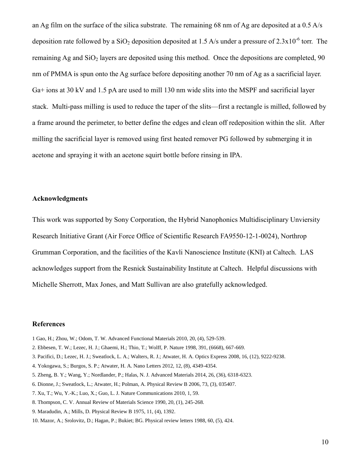an Ag film on the surface of the silica substrate. The remaining 68 nm of Ag are deposited at a 0.5 A/s deposition rate followed by a  $SiO_2$  deposition deposited at 1.5 A/s under a pressure of 2.3x10<sup>-6</sup> torr. The remaining Ag and  $SiO<sub>2</sub>$  layers are deposited using this method. Once the depositions are completed, 90 nm of PMMA is spun onto the Ag surface before depositing another 70 nm of Ag as a sacrificial layer. Ga+ ions at 30 kV and 1.5 pA are used to mill 130 nm wide slits into the MSPF and sacrificial layer stack. Multi-pass milling is used to reduce the taper of the slits—first a rectangle is milled, followed by a frame around the perimeter, to better define the edges and clean off redeposition within the slit. After milling the sacrificial layer is removed using first heated remover PG followed by submerging it in acetone and spraying it with an acetone squirt bottle before rinsing in IPA.

#### **Acknowledgments**

This work was supported by Sony Corporation, the Hybrid Nanophonics Multidisciplinary Unviersity Research Initiative Grant (Air Force Office of Scientific Research FA9550-12-1-0024), Northrop Grumman Corporation, and the facilities of the Kavli Nanoscience Institute (KNI) at Caltech. LAS acknowledges support from the Resnick Sustainability Institute at Caltech. Helpful discussions with Michelle Sherrott, Max Jones, and Matt Sullivan are also gratefully acknowledged.

## **References**

- 1 Gao, H.; Zhou, W.; Odom, T. W. Advanced Functional Materials 2010, 20, (4), 529-539.
- 2. Ebbesen, T. W.; Lezec, H. J.; Ghaemi, H.; Thio, T.; Wolff, P. Nature 1998, 391, (6668), 667-669.
- 3. Pacifici, D.; Lezec, H. J.; Sweatlock, L. A.; Walters, R. J.; Atwater, H. A. Optics Express 2008, 16, (12), 9222-9238.
- 4. Yokogawa, S.; Burgos, S. P.; Atwater, H. A. Nano Letters 2012, 12, (8), 4349-4354.
- 5. Zheng, B. Y.; Wang, Y.; Nordlander, P.; Halas, N. J. Advanced Materials 2014, 26, (36), 6318-6323.
- 6. Dionne, J.; Sweatlock, L.; Atwater, H.; Polman, A. Physical Review B 2006, 73, (3), 035407.
- 7. Xu, T.; Wu, Y.-K.; Luo, X.; Guo, L. J. Nature Communications 2010, 1, 59.
- 8. Thompson, C. V. Annual Review of Materials Science 1990, 20, (1), 245-268.
- 9. Maradudin, A.; Mills, D. Physical Review B 1975, 11, (4), 1392.
- 10. Mazor, A.; Srolovitz, D.; Hagan, P.; Bukiet; BG. Physical review letters 1988, 60, (5), 424.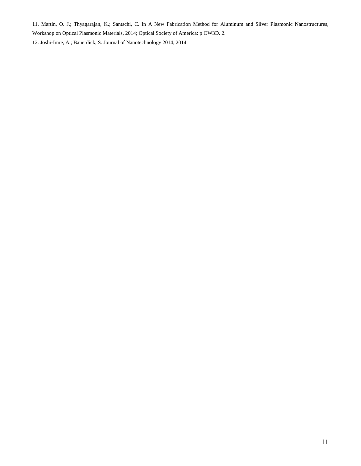11. Martin, O. J.; Thyagarajan, K.; Santschi, C. In A New Fabrication Method for Aluminum and Silver Plasmonic Nanostructures, Workshop on Optical Plasmonic Materials, 2014; Optical Society of America: p OW3D. 2.

12. Joshi-Imre, A.; Bauerdick, S. Journal of Nanotechnology 2014, 2014.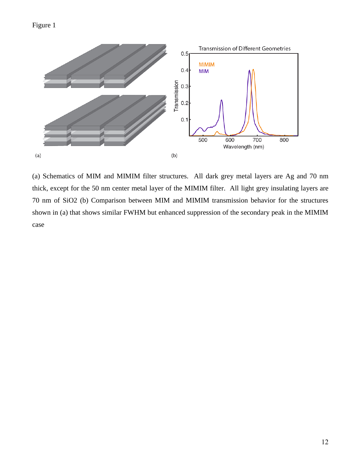



(a) Schematics of MIM and MIMIM filter structures. All dark grey metal layers are Ag and 70 nm thick, except for the 50 nm center metal layer of the MIMIM filter. All light grey insulating layers are 70 nm of SiO2 (b) Comparison between MIM and MIMIM transmission behavior for the structures shown in (a) that shows similar FWHM but enhanced suppression of the secondary peak in the MIMIM case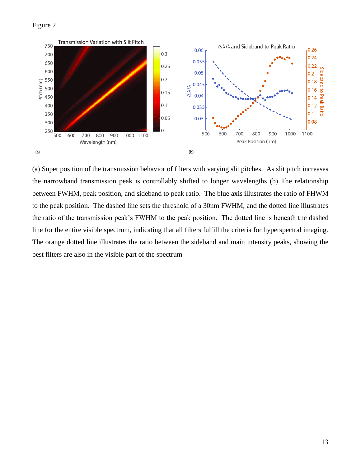## Figure 2



(a) Super position of the transmission behavior of filters with varying slit pitches. As slit pitch increases the narrowband transmission peak is controllably shifted to longer wavelengths (b) The relationship between FWHM, peak position, and sideband to peak ratio. The blue axis illustrates the ratio of FHWM to the peak position. The dashed line sets the threshold of a 30nm FWHM, and the dotted line illustrates the ratio of the transmission peak's FWHM to the peak position. The dotted line is beneath the dashed line for the entire visible spectrum, indicating that all filters fulfill the criteria for hyperspectral imaging. The orange dotted line illustrates the ratio between the sideband and main intensity peaks, showing the best filters are also in the visible part of the spectrum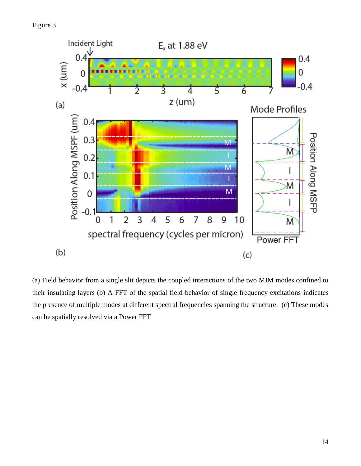

(a) Field behavior from a single slit depicts the coupled interactions of the two MIM modes confined to their insulating layers (b) A FFT of the spatial field behavior of single frequency excitations indicates the presence of multiple modes at different spectral frequencies spanning the structure. (c) These modes can be spatially resolved via a Power FFT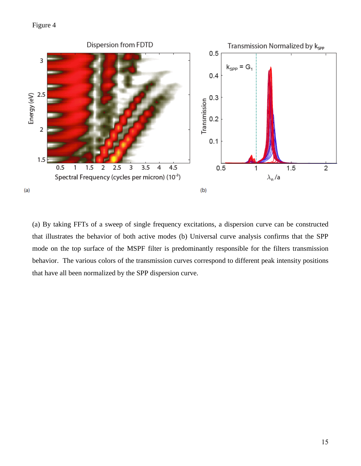# Figure 4



(a) By taking FFTs of a sweep of single frequency excitations, a dispersion curve can be constructed that illustrates the behavior of both active modes (b) Universal curve analysis confirms that the SPP mode on the top surface of the MSPF filter is predominantly responsible for the filters transmission behavior. The various colors of the transmission curves correspond to different peak intensity positions that have all been normalized by the SPP dispersion curve.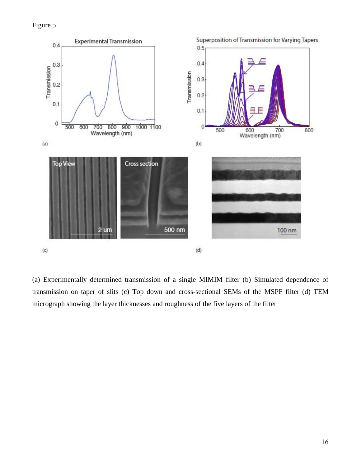Figure 5



(a) Experimentally determined transmission of a single MIMIM filter (b) Simulated dependence of transmission on taper of slits (c) Top down and cross-sectional SEMs of the MSPF filter (d) TEM micrograph showing the layer thicknesses and roughness of the five layers of the filter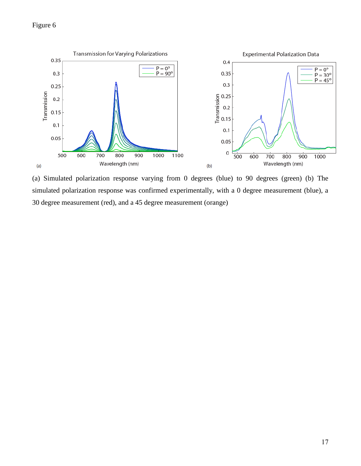# Figure 6



(a) Simulated polarization response varying from 0 degrees (blue) to 90 degrees (green) (b) The simulated polarization response was confirmed experimentally, with a 0 degree measurement (blue), a 30 degree measurement (red), and a 45 degree measurement (orange)